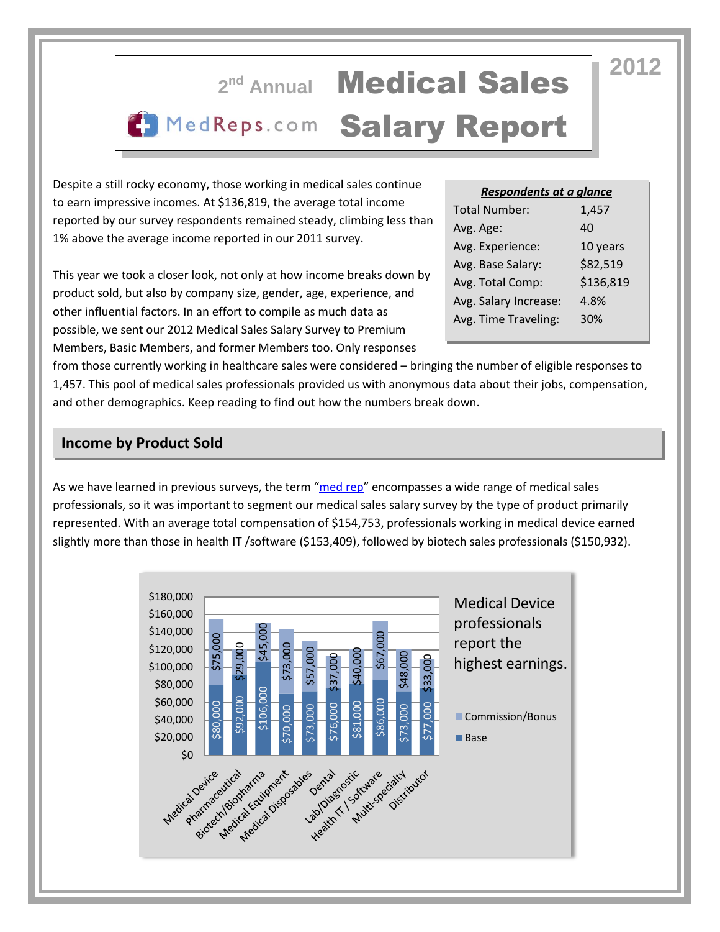

Despite a still rocky economy, those working in medical sales continue to earn impressive incomes. At \$136,819, the average total income reported by our survey respondents remained steady, climbing less than 1% above the average income reported in our 2011 survey.

This year we took a closer look, not only at how income breaks down by product sold, but also by company size, gender, age, experience, and other influential factors. In an effort to compile as much data as possible, we sent our 2012 Medical Sales Salary Survey to Premium Members, Basic Members, and former Members too. Only responses

*Respondents at a glance*

| <b>Total Number:</b>  | 1,457     |
|-----------------------|-----------|
| Avg. Age:             | 40        |
| Avg. Experience:      | 10 years  |
| Avg. Base Salary:     | \$82,519  |
| Avg. Total Comp:      | \$136,819 |
| Avg. Salary Increase: | 4.8%      |
| Avg. Time Traveling:  | 30%       |
|                       |           |

from those currently working in healthcare sales were considered – bringing the number of eligible responses to 1,457. This pool of medical sales professionals provided us with anonymous data about their jobs, compensation, and other demographics. Keep reading to find out how the numbers break down.

### **Income by Product Sold**

As we have learned in previous surveys, the term "[med rep](http://www.medreps.com/medical-sales-careers/whats-a-med-rep)" encompasses a wide range of medical sales professionals, so it was important to segment our medical sales salary survey by the type of product primarily represented. With an average total compensation of \$154,753, professionals working in medical device earned slightly more than those in health IT /software (\$153,409), followed by biotech sales professionals (\$150,932).

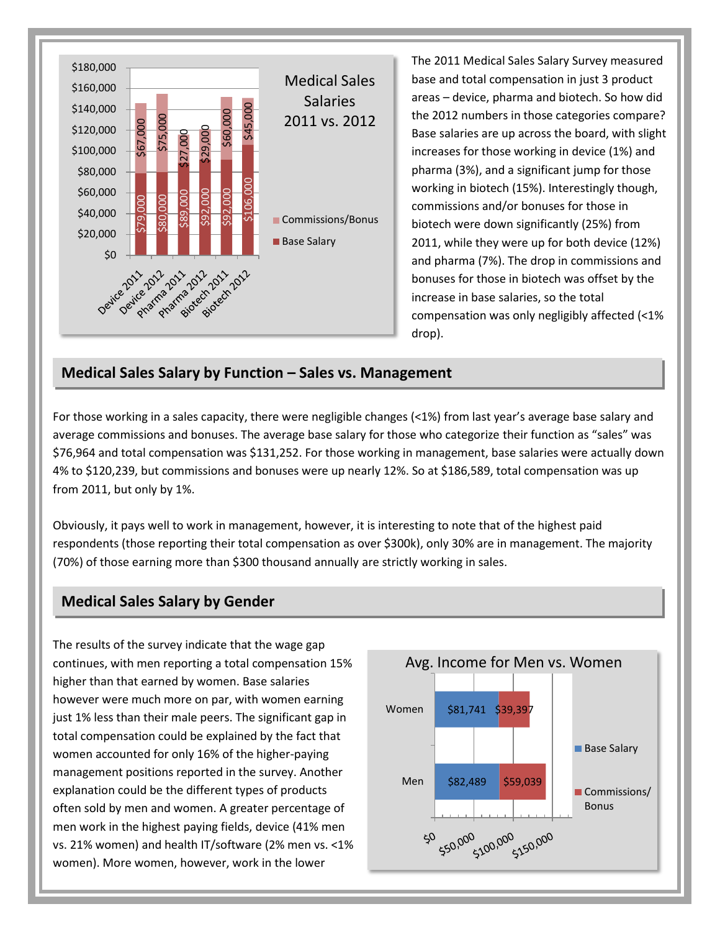

The 2011 Medical Sales Salary Survey measured base and total compensation in just 3 product areas – device, pharma and biotech. So how did the 2012 numbers in those categories compare? Base salaries are up across the board, with slight increases for those working in device (1%) and pharma (3%), and a significant jump for those working in biotech (15%). Interestingly though, commissions and/or bonuses for those in biotech were down significantly (25%) from 2011, while they were up for both device (12%) and pharma (7%). The drop in commissions and bonuses for those in biotech was offset by the increase in base salaries, so the total compensation was only negligibly affected (<1% drop).

#### **Medical Sales Salary by Function – Sales vs. Management**

For those working in a sales capacity, there were negligible changes (<1%) from last year's average base salary and average commissions and bonuses. The average base salary for those who categorize their function as "sales" was \$76,964 and total compensation was \$131,252. For those working in management, base salaries were actually down 4% to \$120,239, but commissions and bonuses were up nearly 12%. So at \$186,589, total compensation was up from 2011, but only by 1%.

Obviously, it pays well to work in management, however, it is interesting to note that of the highest paid respondents (those reporting their total compensation as over \$300k), only 30% are in management. The majority (70%) of those earning more than \$300 thousand annually are strictly working in sales.

#### **Medical Sales Salary by Gender**

The results of the survey indicate that the wage gap continues, with men reporting a total compensation 15% higher than that earned by women. Base salaries however were much more on par, with women earning just 1% less than their male peers. The significant gap in total compensation could be explained by the fact that women accounted for only 16% of the higher-paying management positions reported in the survey. Another explanation could be the different types of products often sold by men and women. A greater percentage of men work in the highest paying fields, device (41% men vs. 21% women) and health IT/software (2% men vs. <1%

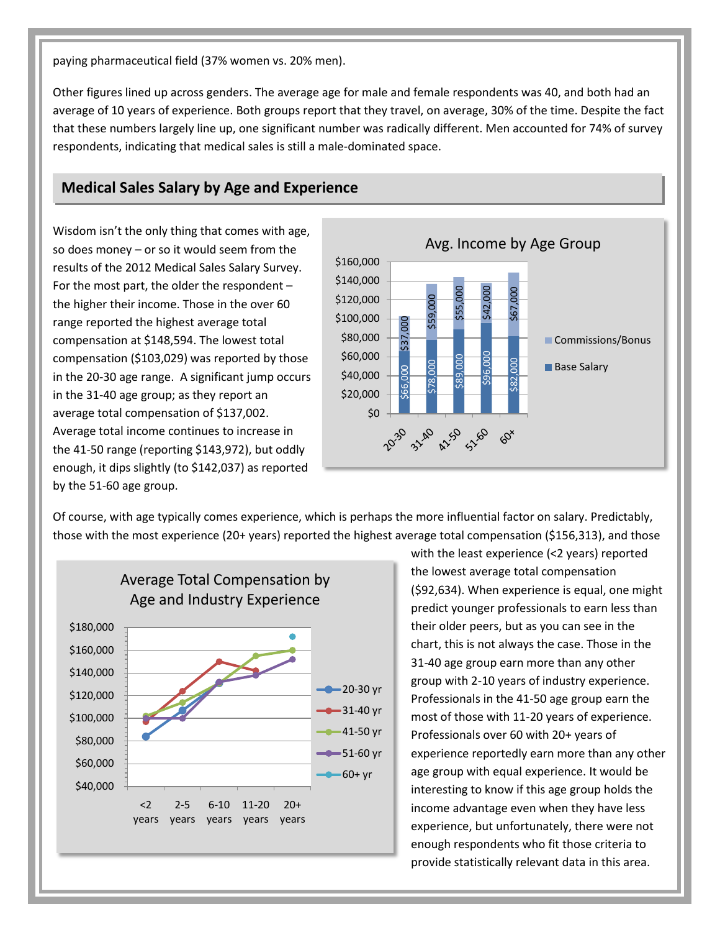paying pharmaceutical field (37% women vs. 20% men).

Other figures lined up across genders. The average age for male and female respondents was 40, and both had an average of 10 years of experience. Both groups report that they travel, on average, 30% of the time. Despite the fact that these numbers largely line up, one significant number was radically different. Men accounted for 74% of survey respondents, indicating that medical sales is still a male-dominated space.

## **Medical Sales Salary by Age and Experience**

Wisdom isn't the only thing that comes with age, so does money – or so it would seem from the results of the 2012 Medical Sales Salary Survey. For the most part, the older the respondent – the higher their income. Those in the over 60 range reported the highest average total compensation at \$148,594. The lowest total compensation (\$103,029) was reported by those in the 20-30 age range. A significant jump occurs in the 31-40 age group; as they report an average total compensation of \$137,002. Average total income continues to increase in the 41-50 range (reporting \$143,972), but oddly enough, it dips slightly (to \$142,037) as reported by the 51-60 age group.



Of course, with age typically comes experience, which is perhaps the more influential factor on salary. Predictably, those with the most experience (20+ years) reported the highest average total compensation (\$156,313), and those



with the least experience (<2 years) reported the lowest average total compensation (\$92,634). When experience is equal, one might predict younger professionals to earn less than their older peers, but as you can see in the chart, this is not always the case. Those in the 31-40 age group earn more than any other group with 2-10 years of industry experience. Professionals in the 41-50 age group earn the most of those with 11-20 years of experience. Professionals over 60 with 20+ years of experience reportedly earn more than any other age group with equal experience. It would be interesting to know if this age group holds the income advantage even when they have less experience, but unfortunately, there were not enough respondents who fit those criteria to provide statistically relevant data in this area.